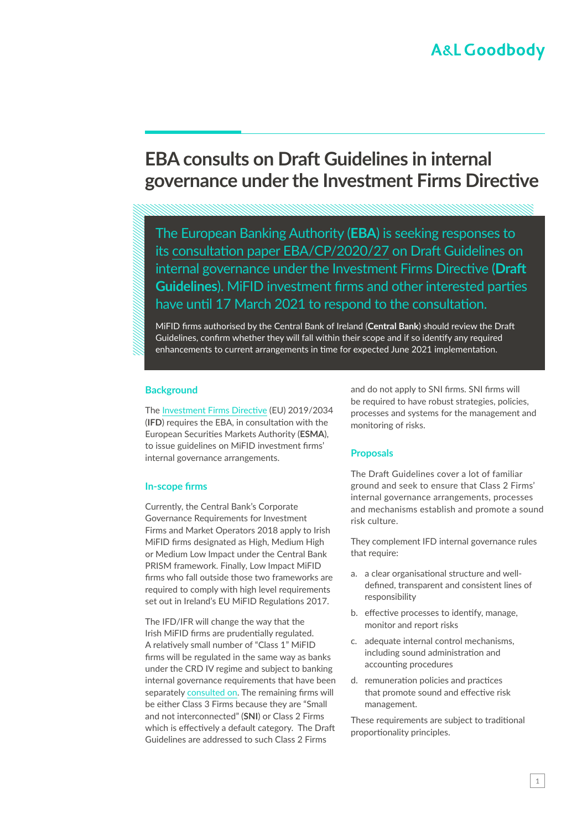# **A&L Goodbody**

# **EBA consults on Draft Guidelines in internal governance under the Investment Firms Directive**

The European Banking Authority (**EBA**) is seeking responses to its [consultation paper EBA/CP/2020/27](https://www.eba.europa.eu/sites/default/documents/files/document_library/Publications/Consultations/2020/Consultation on Guidelines on internal governance for investment firms/961610/CP on draft GL on internal governance IFD.pdf) on Draft Guidelines on internal governance under the Investment Firms Directive (**Draft Guidelines**). MiFID investment firms and other interested parties have until 17 March 2021 to respond to the consultation.

MiFID firms authorised by the Central Bank of Ireland (**Central Bank**) should review the Draft Guidelines, confirm whether they will fall within their scope and if so identify any required enhancements to current arrangements in time for expected June 2021 implementation.

## **Background**

The [Investment Firms Directive](https://www.algoodbody.com/services/financial-regulation/investment-firms-regulation-and-directive) (EU) 2019/2034 (**IFD**) requires the EBA, in consultation with the European Securities Markets Authority (**ESMA**), to issue guidelines on MiFID investment firms' internal governance arrangements.

## **In-scope firms**

Currently, the Central Bank's Corporate Governance Requirements for Investment Firms and Market Operators 2018 apply to Irish MiFID firms designated as High, Medium High or Medium Low Impact under the Central Bank PRISM framework. Finally, Low Impact MiFID firms who fall outside those two frameworks are required to comply with high level requirements set out in Ireland's EU MiFID Regulations 2017.

The IFD/IFR will change the way that the Irish MiFID firms are prudentially regulated. A relatively small number of "Class 1" MiFID firms will be regulated in the same way as banks under the CRD IV regime and subject to banking internal governance requirements that have been separately [consulted on](https://www.algoodbody.com/insights-publications/eba-consultation-paper-on-internal-governance-guidelines). The remaining firms will be either Class 3 Firms because they are "Small and not interconnected" (**SNI**) or Class 2 Firms which is effectively a default category. The Draft Guidelines are addressed to such Class 2 Firms

and do not apply to SNI firms. SNI firms will be required to have robust strategies, policies, processes and systems for the management and monitoring of risks.

# **Proposals**

The Draft Guidelines cover a lot of familiar ground and seek to ensure that Class 2 Firms' internal governance arrangements, processes and mechanisms establish and promote a sound risk culture.

They complement IFD internal governance rules that require:

- a. a clear organisational structure and well‐ defined, transparent and consistent lines of responsibility
- b. effective processes to identify, manage, monitor and report risks
- c. adequate internal control mechanisms, including sound administration and accounting procedures
- d. remuneration policies and practices that promote sound and effective risk management.

These requirements are subject to traditional proportionality principles.